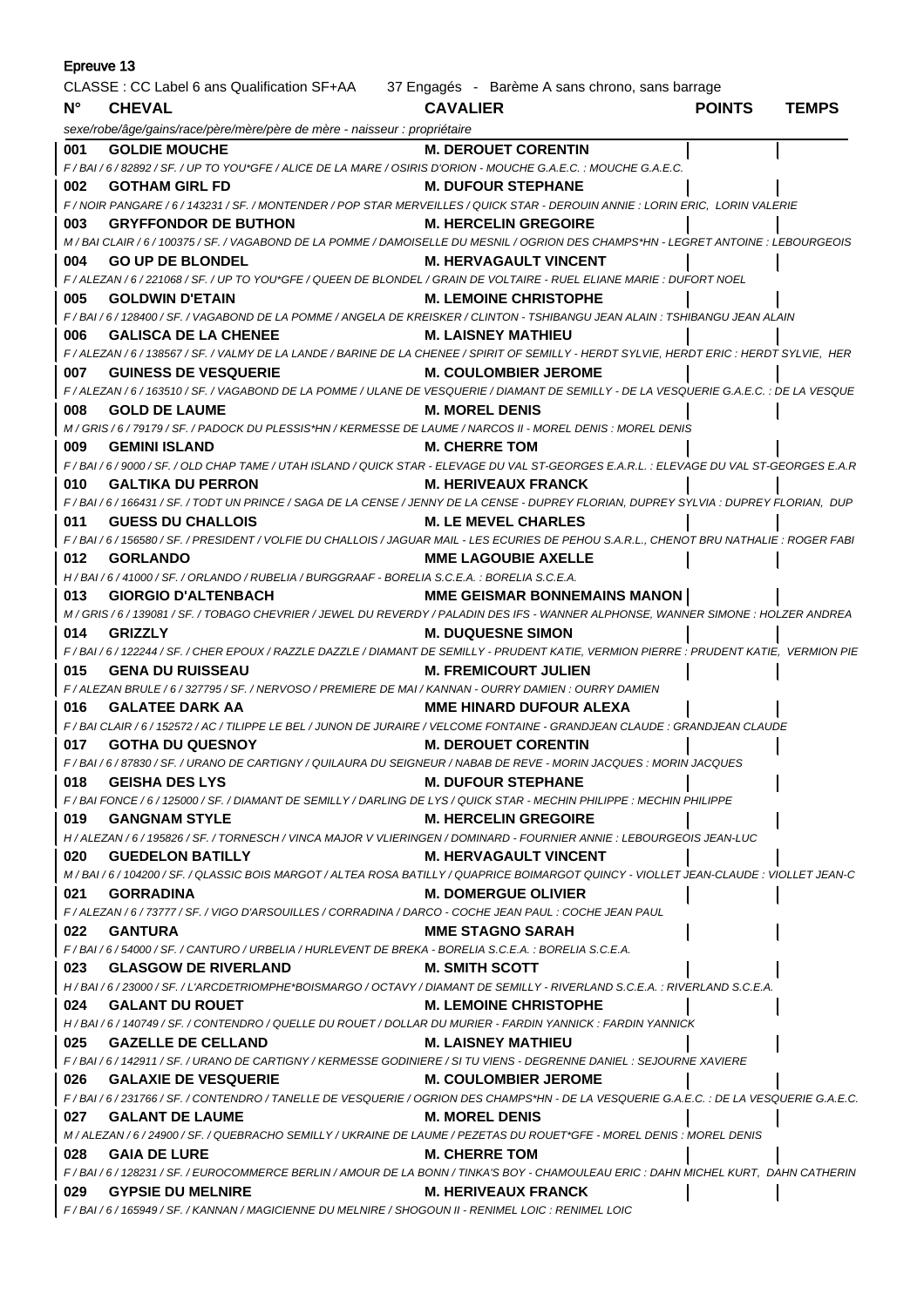| Epreuve 13                                                                                  |                                                                                                                                                |                                     |               |              |
|---------------------------------------------------------------------------------------------|------------------------------------------------------------------------------------------------------------------------------------------------|-------------------------------------|---------------|--------------|
| CLASSE : CC Label 6 ans Qualification SF+AA 37 Engagés - Barème A sans chrono, sans barrage |                                                                                                                                                |                                     |               |              |
| $N^{\circ}$                                                                                 | <b>CHEVAL</b>                                                                                                                                  | <b>CAVALIER</b>                     | <b>POINTS</b> | <b>TEMPS</b> |
|                                                                                             | sexe/robe/âge/gains/race/père/mère/père de mère - naisseur : propriétaire                                                                      |                                     |               |              |
| 001                                                                                         | <b>GOLDIE MOUCHE</b>                                                                                                                           | <b>M. DEROUET CORENTIN</b>          |               |              |
|                                                                                             | F / BAI / 6 / 82892 / SF. / UP TO YOU*GFE / ALICE DE LA MARE / OSIRIS D'ORION - MOUCHE G.A.E.C. : MOUCHE G.A.E.C.                              |                                     |               |              |
| 002                                                                                         | <b>GOTHAM GIRL FD</b>                                                                                                                          | <b>M. DUFOUR STEPHANE</b>           |               |              |
|                                                                                             | F / NOIR PANGARE / 6 / 143231 / SF. / MONTENDER / POP STAR MERVEILLES / QUICK STAR - DEROUIN ANNIE : LORIN ERIC, LORIN VALERIE                 |                                     |               |              |
| 003                                                                                         | <b>GRYFFONDOR DE BUTHON</b>                                                                                                                    | <b>M. HERCELIN GREGOIRE</b>         |               |              |
|                                                                                             | M / BAI CLAIR / 6 / 100375 / SF. / VAGABOND DE LA POMME / DAMOISELLE DU MESNIL / OGRION DES CHAMPS*HN - LEGRET ANTOINE : LEBOURGEOIS           |                                     |               |              |
| 004                                                                                         | <b>GO UP DE BLONDEL</b>                                                                                                                        | <b>M. HERVAGAULT VINCENT</b>        |               |              |
|                                                                                             | F / ALEZAN / 6 / 221068 / SF. / UP TO YOU*GFE / QUEEN DE BLONDEL / GRAIN DE VOLTAIRE - RUEL ELIANE MARIE : DUFORT NOEL                         |                                     |               |              |
| 005                                                                                         | <b>GOLDWIN D'ETAIN</b>                                                                                                                         | <b>M. LEMOINE CHRISTOPHE</b>        |               |              |
|                                                                                             | F / BAI / 6 / 128400 / SF. / VAGABOND DE LA POMME / ANGELA DE KREISKER / CLINTON - TSHIBANGU JEAN ALAIN : TSHIBANGU JEAN ALAIN                 |                                     |               |              |
| 006                                                                                         | <b>GALISCA DE LA CHENEE</b>                                                                                                                    | M. LAISNEY MATHIEU                  |               |              |
|                                                                                             | F / ALEZAN / 6 / 138567 / SF. / VALMY DE LA LANDE / BARINE DE LA CHENEE / SPIRIT OF SEMILLY - HERDT SYLVIE, HERDT ERIC : HERDT SYLVIE, HER     |                                     |               |              |
| 007                                                                                         | <b>GUINESS DE VESQUERIE</b>                                                                                                                    | <b>M. COULOMBIER JEROME</b>         |               |              |
|                                                                                             | F / ALEZAN / 6 / 163510 / SF. / VAGABOND DE LA POMME / ULANE DE VESQUERIE / DIAMANT DE SEMILLY - DE LA VESQUERIE G.A.E.C. : DE LA VESQUE       |                                     |               |              |
| 008                                                                                         | <b>GOLD DE LAUME</b>                                                                                                                           | <b>M. MOREL DENIS</b>               |               |              |
|                                                                                             | M / GRIS / 6 / 79179 / SF. / PADOCK DU PLESSIS*HN / KERMESSE DE LAUME / NARCOS II - MOREL DENIS : MOREL DENIS                                  |                                     |               |              |
| 009                                                                                         | <b>GEMINI ISLAND</b>                                                                                                                           | <b>M. CHERRE TOM</b>                |               |              |
|                                                                                             | F/BAI/6/9000/SF./OLD CHAP TAME/UTAH ISLAND/QUICK STAR - ELEVAGE DU VAL ST-GEORGES E.A.R.L.: ELEVAGE DU VAL ST-GEORGES E.A.R                    |                                     |               |              |
| 010                                                                                         | <b>GALTIKA DU PERRON</b>                                                                                                                       | <b>M. HERIVEAUX FRANCK</b>          |               |              |
|                                                                                             | F/BAI/6/166431/SF./TODT UN PRINCE/SAGA DE LA CENSE/JENNY DE LA CENSE - DUPREY FLORIAN, DUPREY SYLVIA : DUPREY FLORIAN, DUP                     |                                     |               |              |
| 011                                                                                         | <b>GUESS DU CHALLOIS</b>                                                                                                                       | <b>M. LE MEVEL CHARLES</b>          |               |              |
|                                                                                             | F / BAI / 6 / 156580 / SF. / PRESIDENT / VOLFIE DU CHALLOIS / JAGUAR MAIL - LES ECURIES DE PEHOU S.A.R.L., CHENOT BRU NATHALIE : ROGER FABI    |                                     |               |              |
| 012                                                                                         | <b>GORLANDO</b>                                                                                                                                | <b>MME LAGOUBIE AXELLE</b>          |               |              |
|                                                                                             | H/BAI/6/41000/SF./ORLANDO/RUBELIA/BURGGRAAF-BORELIA S.C.E.A.: BORELIA S.C.E.A.                                                                 |                                     |               |              |
| 013                                                                                         | <b>GIORGIO D'ALTENBACH</b>                                                                                                                     | <b>MME GEISMAR BONNEMAINS MANON</b> |               |              |
|                                                                                             | M / GRIS / 6 / 139081 / SF. / TOBAGO CHEVRIER / JEWEL DU REVERDY / PALADIN DES IFS - WANNER ALPHONSE, WANNER SIMONE : HOLZER ANDREA            |                                     |               |              |
| 014                                                                                         | <b>GRIZZLY</b>                                                                                                                                 | <b>M. DUQUESNE SIMON</b>            |               |              |
|                                                                                             | F / BAI / 6 / 122244 / SF. / CHER EPOUX / RAZZLE DAZZLE / DIAMANT DE SEMILLY - PRUDENT KATIE, VERMION PIERRE : PRUDENT KATIE, VERMION PIE      |                                     |               |              |
| 015                                                                                         | <b>GENA DU RUISSEAU</b>                                                                                                                        | <b>M. FREMICOURT JULIEN</b>         |               |              |
|                                                                                             | F / ALEZAN BRULE / 6 / 327795 / SF. / NERVOSO / PREMIERE DE MAI / KANNAN - OURRY DAMIEN : OURRY DAMIEN                                         |                                     |               |              |
| 016                                                                                         | <b>GALATEE DARK AA</b>                                                                                                                         | MME HINARD DUFOUR ALEXA             |               |              |
|                                                                                             | F / BAI CLAIR / 6 / 152572 / AC / TILIPPE LE BEL / JUNON DE JURAIRE / VELCOME FONTAINE - GRANDJEAN CLAUDE : GRANDJEAN CLAUDE                   |                                     |               |              |
| 017                                                                                         | <b>GOTHA DU QUESNOY</b>                                                                                                                        | <b>M. DEROUET CORENTIN</b>          |               |              |
|                                                                                             | F / BAI / 6 / 87830 / SF. / URANO DE CARTIGNY / QUILAURA DU SEIGNEUR / NABAB DE REVE - MORIN JACQUES : MORIN JACQUES                           |                                     |               |              |
| 018                                                                                         | <b>GEISHA DES LYS</b>                                                                                                                          | <b>M. DUFOUR STEPHANE</b>           |               |              |
|                                                                                             | F / BAI FONCE / 6 / 125000 / SF. / DIAMANT DE SEMILLY / DARLING DE LYS / QUICK STAR - MECHIN PHILIPPE : MECHIN PHILIPPE                        |                                     |               |              |
| 019                                                                                         | <b>GANGNAM STYLE</b>                                                                                                                           | <b>M. HERCELIN GREGOIRE</b>         |               |              |
|                                                                                             | H / ALEZAN / 6 / 195826 / SF. / TORNESCH / VINCA MAJOR V VLIERINGEN / DOMINARD - FOURNIER ANNIE : LEBOURGEOIS JEAN-LUC                         |                                     |               |              |
| 020                                                                                         | <b>GUEDELON BATILLY</b>                                                                                                                        | <b>M. HERVAGAULT VINCENT</b>        |               |              |
| 021                                                                                         | M/BAI/6/104200/SF./QLASSIC BOIS MARGOT/ALTEA ROSA BATILLY/QUAPRICE BOIMARGOT QUINCY - VIOLLET JEAN-CLAUDE : VIOLLET JEAN-C<br><b>GORRADINA</b> | <b>M. DOMERGUE OLIVIER</b>          |               |              |
|                                                                                             | F / ALEZAN / 6 / 73777 / SF. / VIGO D'ARSOUILLES / CORRADINA / DARCO - COCHE JEAN PAUL : COCHE JEAN PAUL                                       |                                     |               |              |
| 022                                                                                         | <b>GANTURA</b>                                                                                                                                 | <b>MME STAGNO SARAH</b>             |               |              |
|                                                                                             | F/BAI/6/54000/SF./CANTURO/URBELIA/HURLEVENT DE BREKA - BORELIA S.C.E.A.: BORELIA S.C.E.A.                                                      |                                     |               |              |
| 023                                                                                         | <b>GLASGOW DE RIVERLAND</b>                                                                                                                    | <b>M. SMITH SCOTT</b>               |               |              |
|                                                                                             | H/BAI/6/23000/SF./L'ARCDETRIOMPHE*BOISMARGO/OCTAVY/DIAMANT DE SEMILLY - RIVERLAND S.C.E.A.: RIVERLAND S.C.E.A.                                 |                                     |               |              |
| 024                                                                                         | <b>GALANT DU ROUET</b>                                                                                                                         | <b>M. LEMOINE CHRISTOPHE</b>        |               |              |
|                                                                                             | H / BAI / 6 / 140749 / SF. / CONTENDRO / QUELLE DU ROUET / DOLLAR DU MURIER - FARDIN YANNICK : FARDIN YANNICK                                  |                                     |               |              |
| 025                                                                                         | <b>GAZELLE DE CELLAND</b>                                                                                                                      | <b>M. LAISNEY MATHIEU</b>           |               |              |
|                                                                                             | F/BAI/6/142911/SF./URANO DE CARTIGNY/KERMESSE GODINIERE/SI TU VIENS - DEGRENNE DANIEL : SEJOURNE XAVIERE                                       |                                     |               |              |
| 026                                                                                         | <b>GALAXIE DE VESQUERIE</b>                                                                                                                    | <b>M. COULOMBIER JEROME</b>         |               |              |
|                                                                                             | F / BAI / 6 / 231766 / SF. / CONTENDRO / TANELLE DE VESQUERIE / OGRION DES CHAMPS*HN - DE LA VESQUERIE G.A.E.C.                                |                                     |               |              |
| 027                                                                                         | <b>GALANT DE LAUME</b>                                                                                                                         | <b>M. MOREL DENIS</b>               |               |              |
|                                                                                             | M / ALEZAN / 6 / 24900 / SF. / QUEBRACHO SEMILLY / UKRAINE DE LAUME / PEZETAS DU ROUET*GFE - MOREL DENIS : MOREL DENIS                         |                                     |               |              |
| 028                                                                                         | <b>GAIA DE LURE</b>                                                                                                                            | <b>M. CHERRE TOM</b>                |               |              |
|                                                                                             | F / BAI / 6 / 128231 / SF. / EUROCOMMERCE BERLIN / AMOUR DE LA BONN / TINKA'S BOY - CHAMOULEAU ERIC : DAHN MICHEL KURT, DAHN CATHERIN          |                                     |               |              |
| 029                                                                                         | <b>GYPSIE DU MELNIRE</b>                                                                                                                       | <b>M. HERIVEAUX FRANCK</b>          |               |              |
|                                                                                             | F / BAI / 6 / 165949 / SF. / KANNAN / MAGICIENNE DU MELNIRE / SHOGOUN II - RENIMEL LOIC : RENIMEL LOIC                                         |                                     |               |              |